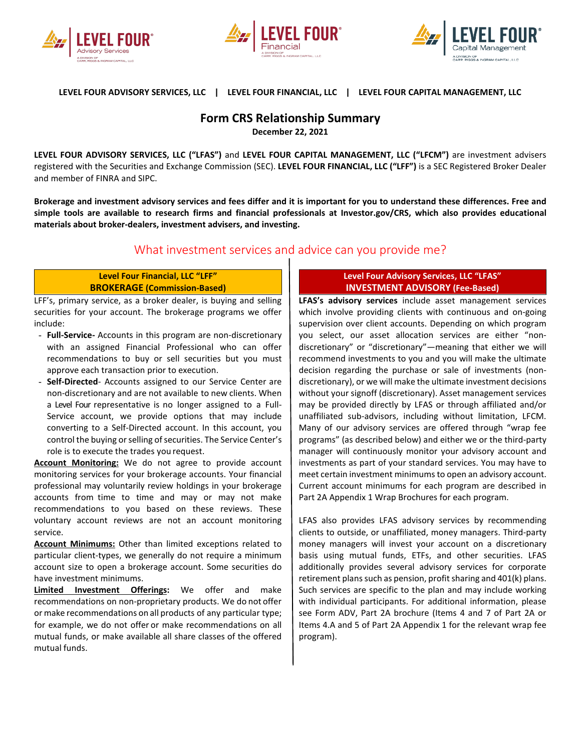





### **LEVEL FOUR ADVISORY SERVICES, LLC | LEVEL FOUR FINANCIAL, LLC | LEVEL FOUR CAPITAL MANAGEMENT, LLC**

### **Form CRS Relationship Summary**

**December 22, 2021**

**LEVEL FOUR ADVISORY SERVICES, LLC ("LFAS")** and **LEVEL FOUR CAPITAL MANAGEMENT, LLC ("LFCM")** are investment advisers registered with the Securities and Exchange Commission (SEC). **LEVEL FOUR FINANCIAL, LLC ("LFF")** is a SEC Registered Broker Dealer and member of FINRA and SIPC.

**Brokerage and investment advisory services and fees differ and it is important for you to understand these differences. Free and simple tools are available to research firms and financial professionals at Investor.gov/CRS, which also provides educational materials about broker-dealers, investment advisers, and investing.** 

### What investment services and advice can you provide me?

#### **Level Four Financial, LLC "LFF" BROKERAGE (Commission-Based)**

LFF's, primary service, as a broker dealer, is buying and selling securities for your account. The brokerage programs we offer include:

- **Full-Service-** Accounts in this program are non-discretionary with an assigned Financial Professional who can offer recommendations to buy or sell securities but you must approve each transaction prior to execution.
- **Self-Directed** Accounts assigned to our Service Center are non-discretionary and are not available to new clients. When a Level Four representative is no longer assigned to a Full-Service account, we provide options that may include converting to a Self-Directed account. In this account, you control the buying or selling of securities. The Service Center's role is to execute the trades you request.

**Account Monitoring:** We do not agree to provide account monitoring services for your brokerage accounts. Your financial professional may voluntarily review holdings in your brokerage accounts from time to time and may or may not make recommendations to you based on these reviews. These voluntary account reviews are not an account monitoring service.

**Account Minimums:** Other than limited exceptions related to particular client-types, we generally do not require a minimum account size to open a brokerage account. Some securities do have investment minimums.

**Limited Investment Offerings:** We offer and make recommendations on non-proprietary products. We do not offer ormake recommendations on all products of any particular type; for example, we do not offer or make recommendations on all mutual funds, or make available all share classes of the offered mutual funds.

#### **Level Four Advisory Services, LLC "LFAS" INVESTMENT ADVISORY (Fee-Based)**

**LFAS's advisory services** include asset management services which involve providing clients with continuous and on-going supervision over client accounts. Depending on which program you select, our asset allocation services are either "nondiscretionary" or "discretionary"—meaning that either we will recommend investments to you and you will make the ultimate decision regarding the purchase or sale of investments (nondiscretionary), or we will make the ultimate investment decisions without your signoff (discretionary). Asset management services may be provided directly by LFAS or through affiliated and/or unaffiliated sub-advisors, including without limitation, LFCM. Many of our advisory services are offered through "wrap fee programs" (as described below) and either we or the third-party manager will continuously monitor your advisory account and investments as part of your standard services. You may have to meet certain investment minimums to open an advisory account. Current account minimums for each program are described in Part 2A Appendix 1 Wrap Brochures for each program.

LFAS also provides LFAS advisory services by recommending clients to outside, or unaffiliated, money managers. Third-party money managers will invest your account on a discretionary basis using mutual funds, ETFs, and other securities. LFAS additionally provides several advisory services for corporate retirement plans such as pension, profit sharing and 401(k) plans. Such services are specific to the plan and may include working with individual participants. For additional information, please see Form ADV, Part 2A brochure (Items 4 and 7 of Part 2A or Items 4.A and 5 of Part 2A Appendix 1 for the relevant wrap fee program).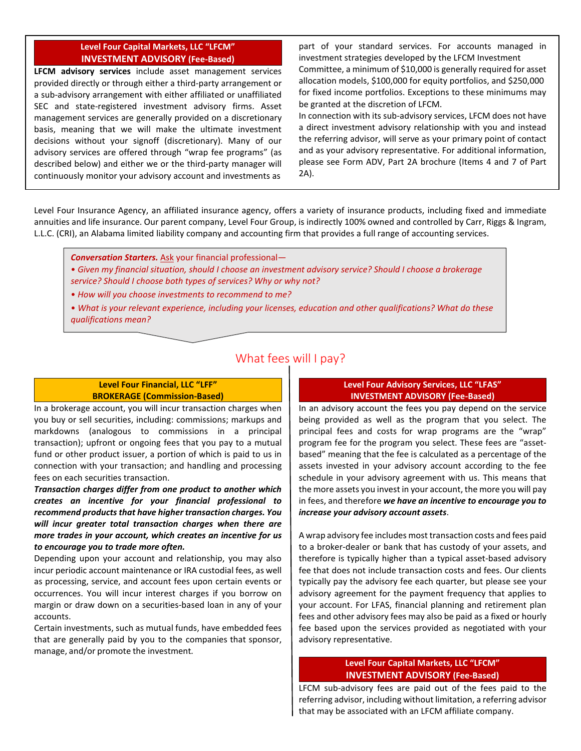#### **Level Four Capital Markets, LLC "LFCM" INVESTMENT ADVISORY (Fee-Based)**

**LFCM advisory services** include asset management services provided directly or through either a third-party arrangement or a sub-advisory arrangement with either affiliated or unaffiliated SEC and state-registered investment advisory firms. Asset management services are generally provided on a discretionary basis, meaning that we will make the ultimate investment decisions without your signoff (discretionary). Many of our advisory services are offered through "wrap fee programs" (as described below) and either we or the third-party manager will continuously monitor your advisory account and investments as

part of your standard services. For accounts managed in investment strategies developed by the LFCM Investment Committee, a minimum of \$10,000 is generally required for asset allocation models, \$100,000 for equity portfolios, and \$250,000 for fixed income portfolios. Exceptions to these minimums may be granted at the discretion of LFCM.

In connection with its sub-advisory services, LFCM does not have a direct investment advisory relationship with you and instead the referring advisor, will serve as your primary point of contact and as your advisory representative. For additional information, please see Form ADV, Part 2A brochure (Items 4 and 7 of Part 2A).

Level Four Insurance Agency, an affiliated insurance agency, offers a variety of insurance products, including fixed and immediate annuities and life insurance. Our parent company, Level Four Group, is indirectly 100% owned and controlled by Carr, Riggs & Ingram, L.L.C. (CRI), an Alabama limited liability company and accounting firm that provides a full range of accounting services.

**Conversation Starters.** Ask your financial professional—

- *Given my financial situation, should I choose an investment advisory service? Should I choose a brokerage service? Should I choose both types of services? Why or why not?*
- *How will you choose investments to recommend to me?*
- *What is your relevant experience, including your licenses, education and other qualifications? What do these qualifications mean?*

## What fees will I pay?

#### **Level Four Financial, LLC "LFF" BROKERAGE (Commission-Based)**

In a brokerage account, you will incur transaction charges when you buy or sell securities, including: commissions; markups and markdowns (analogous to commissions in a principal transaction); upfront or ongoing fees that you pay to a mutual fund or other product issuer, a portion of which is paid to us in connection with your transaction; and handling and processing fees on each securities transaction.

*Transaction charges differ from one product to another which creates an incentive for your financial professional to recommend products that have higher transaction charges. You will incur greater total transaction charges when there are more trades in your account, which creates an incentive for us to encourage you to trade more often.*

Depending upon your account and relationship, you may also incur periodic account maintenance or IRA custodial fees, as well as processing, service, and account fees upon certain events or occurrences. You will incur interest charges if you borrow on margin or draw down on a securities-based loan in any of your accounts.

Certain investments, such as mutual funds, have embedded fees that are generally paid by you to the companies that sponsor, manage, and/or promote the investment*.*

#### **Level Four Advisory Services, LLC "LFAS" INVESTMENT ADVISORY (Fee-Based)**

In an advisory account the fees you pay depend on the service being provided as well as the program that you select. The principal fees and costs for wrap programs are the "wrap" program fee for the program you select. These fees are "assetbased" meaning that the fee is calculated as a percentage of the assets invested in your advisory account according to the fee schedule in your advisory agreement with us. This means that the more assets you invest in your account, the more you will pay in fees, and therefore *we have an incentive to encourage you to increase your advisory account assets*.

A wrap advisory fee includes most transaction costs and fees paid to a broker-dealer or bank that has custody of your assets, and therefore is typically higher than a typical asset-based advisory fee that does not include transaction costs and fees. Our clients typically pay the advisory fee each quarter, but please see your advisory agreement for the payment frequency that applies to your account. For LFAS, financial planning and retirement plan fees and other advisory fees may also be paid as a fixed or hourly fee based upon the services provided as negotiated with your advisory representative.

#### **Level Four Capital Markets, LLC "LFCM" INVESTMENT ADVISORY (Fee-Based)**

LFCM sub-advisory fees are paid out of the fees paid to the referring advisor, including without limitation, a referring advisor that may be associated with an LFCM affiliate company.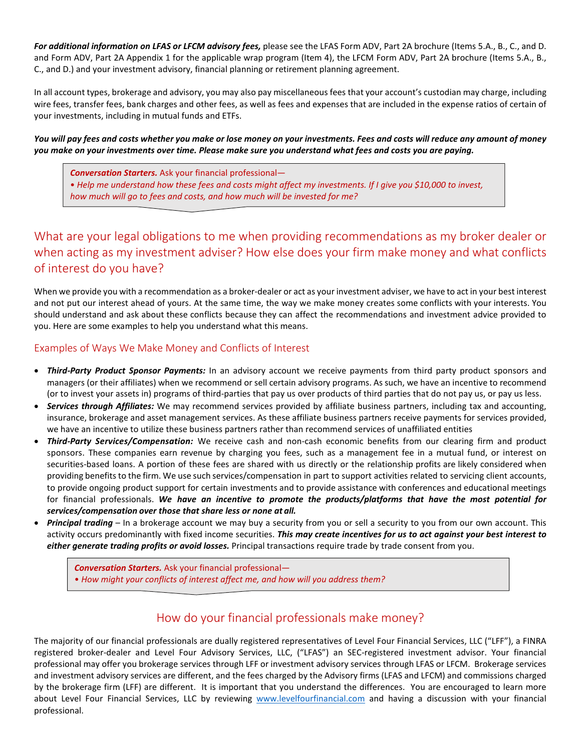*For additional information on LFAS or LFCM advisory fees,* please see the LFAS Form ADV, Part 2A brochure (Items 5.A., B., C., and D. and Form ADV, Part 2A Appendix 1 for the applicable wrap program (Item 4), the LFCM Form ADV, Part 2A brochure (Items 5.A., B., C., and D.) and your investment advisory, financial planning or retirement planning agreement.

In all account types, brokerage and advisory, you may also pay miscellaneous fees that your account's custodian may charge, including wire fees, transfer fees, bank charges and other fees, as well as fees and expenses that are included in the expense ratios of certain of your investments, including in mutual funds and ETFs.

*You will pay fees and costs whether you make or lose money on your investments. Fees and costs will reduce any amount of money you make on your investments over time. Please make sure you understand what fees and costs you are paying.*

*Conversation Starters.* Ask your financial professional— • *Help me understand how these fees and costs might affect my investments. If I give you \$10,000 to invest, how much will go to fees and costs, and how much will be invested for me?* 

# What are your legal obligations to me when providing recommendations as my broker dealer or when acting as my investment adviser? How else does your firm make money and what conflicts of interest do you have?

When we provide you with a recommendation as a broker-dealer or act as your investment adviser, we have to act in your best interest and not put our interest ahead of yours. At the same time, the way we make money creates some conflicts with your interests. You should understand and ask about these conflicts because they can affect the recommendations and investment advice provided to you. Here are some examples to help you understand what this means.

### Examples of Ways We Make Money and Conflicts of Interest

- *Third-Party Product Sponsor Payments:* In an advisory account we receive payments from third party product sponsors and managers (or their affiliates) when we recommend or sell certain advisory programs. As such, we have an incentive to recommend (or to invest your assets in) programs of third-parties that pay us over products of third parties that do not pay us, or pay us less.
- *Services through Affiliates:* We may recommend services provided by affiliate business partners, including tax and accounting, insurance, brokerage and asset management services. As these affiliate business partners receive payments for services provided, we have an incentive to utilize these business partners rather than recommend services of unaffiliated entities
- *Third-Party Services/Compensation:* We receive cash and non-cash economic benefits from our clearing firm and product sponsors. These companies earn revenue by charging you fees, such as a management fee in a mutual fund, or interest on securities-based loans. A portion of these fees are shared with us directly or the relationship profits are likely considered when providing benefits to the firm. We use such services/compensation in part to support activities related to servicing client accounts, to provide ongoing product support for certain investments and to provide assistance with conferences and educational meetings for financial professionals. *We have an incentive to promote the products/platforms that have the most potential for services/compensation over those that share less or none at all.*
- *Principal trading* In a brokerage account we may buy a security from you or sell a security to you from our own account. This activity occurs predominantly with fixed income securities. *This may create incentives for us to act against your best interest to either generate trading profits or avoid losses.* Principal transactions require trade by trade consent from you.

*Conversation Starters.* Ask your financial professional— • *How might your conflicts of interest affect me, and how will you address them?* 

## How do your financial professionals make money?

The majority of our financial professionals are dually registered representatives of Level Four Financial Services, LLC ("LFF"), a FINRA registered broker-dealer and Level Four Advisory Services, LLC, ("LFAS") an SEC-registered investment advisor. Your financial professional may offer you brokerage services through LFF or investment advisory services through LFAS or LFCM. Brokerage services and investment advisory services are different, and the fees charged by the Advisory firms (LFAS and LFCM) and commissions charged by the brokerage firm (LFF) are different. It is important that you understand the differences. You are encouraged to learn more about Level Four Financial Services, LLC by reviewing [www.levelfourfinancial.com](http://www.levelfourfinancial.com/) and having a discussion with your financial professional.